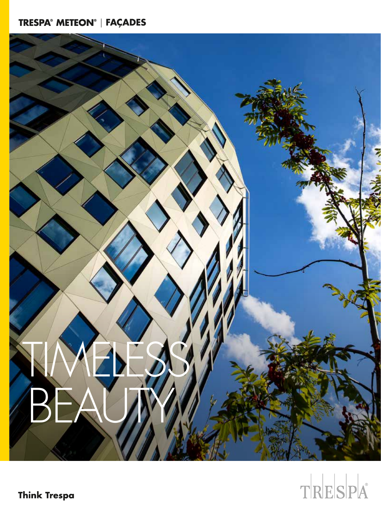# | **FAÇADES**



# TRESPA

**Think Trespa**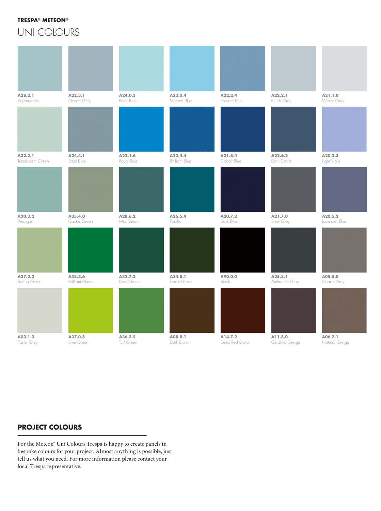### **TRESPA® METEON®**

UNI COLOURS

| A28.2.1           | A22.3.1         | A24.0.3    | A23.0.4               | A22.2.4        | A22.2.1            | A21.1.0        |
|-------------------|-----------------|------------|-----------------------|----------------|--------------------|----------------|
| Aquamarine        | Ocean Grey      | Polar Blue | Mineral Blue          | Powder Blue    | <b>Bluish Grey</b> | Winter Grey    |
| A32.2.1           | A24.4.1         | A22.1.6    | A22.4.4               | A21.5.4        | A22.6.2            | A20.2.3        |
| Translucent Green | Steel Blue      | Royal Blue | <b>Brilliant Blue</b> | Cobalt Blue    | Dark Denim         | Light Viola    |
| A30.3.2           | A35.4.0         | A28.6.2    | A26.5.4               | A20.7.2        | A21.7.0            | A20.5.2        |
| Verdigris         | Cactus Green    | Mid Green  | Pacific               | Dark Blue      | Steel Grey         | Lavender Blue  |
| A37.2.3           | A33.3.6         | A32.7.2    | A34.8.1               | A90.0.0        | A25.8.1            | A05.5.0        |
| Spring Green      | Brilliant Green | Dark Green | Forest Green          | Black          | Anthracite Grey    | Quartz Grey    |
| A03.1.0           | A37.0.8         | A36.3.5    | A08.8.1               | A14.7.2        | A11.8.0            | A06.7.1        |
| Pastel Grey       | Lime Green      | Turf Green | Dark Brown            | Deep Red Brown | Ceramic Greige     | Natural Greige |

## **PROJECT COLOURS**

For the Meteon® Uni Colours Trespa is happy to create panels in bespoke colours for your project. Almost anything is possible, just tell us what you need. For more information please contact your local Trespa representative.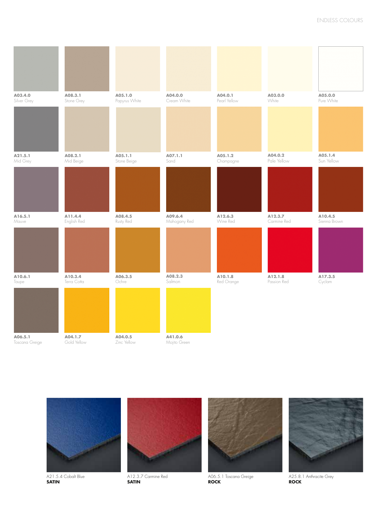| A03.4.0<br>Silver Grey    | A08.3.1<br>Stone Grey  | A05.1.0<br>Papyrus White | A04.0.0<br>Cream White  | A04.0.1<br>Pearl Yellow | A03.0.0<br>White       | A05.0.0<br>Pure White   |
|---------------------------|------------------------|--------------------------|-------------------------|-------------------------|------------------------|-------------------------|
|                           |                        |                          |                         |                         |                        |                         |
| A21.5.1<br>Mid Grey       | A08.2.1<br>Mid Beige   | A05.1.1<br>Stone Beige   | A07.1.1<br>Sand         | A05.1.2<br>Champagne    | A04.0.2<br>Pale Yellow | A05.1.4<br>Sun Yellow   |
|                           |                        |                          |                         |                         |                        |                         |
| A16.5.1<br>Mauve          | A11.4.4<br>English Red | A08.4.5<br>Rusty Red     | A09.6.4<br>Mahogany Red | A12.6.3<br>Wine Red     | A12.3.7<br>Carmine Red | A10.4.5<br>Sienna Brown |
|                           |                        |                          |                         |                         |                        |                         |
| A10.6.1<br>Taupe          | A10.3.4<br>Terra Cotta | A06.3.5<br>Ochre         | A08.2.3<br>Salmon       | A10.1.8<br>Red Orange   | A12.1.8<br>Passion Red | A17.3.5<br>Cyclam       |
| A06.5.1<br>Toscana Greige | A04.1.7<br>Gold Yellow | A04.0.5<br>Zinc Yellow   | A41.0.6<br>Mojito Green |                         |                        |                         |



A21.5.4 Cobalt Blue **SATIN** 



A12.3.7 Carmine Red **SATIN** 



A06.5.1 Toscana Greige **ROCK**



A25.8.1 Anthracite Grey **ROCK**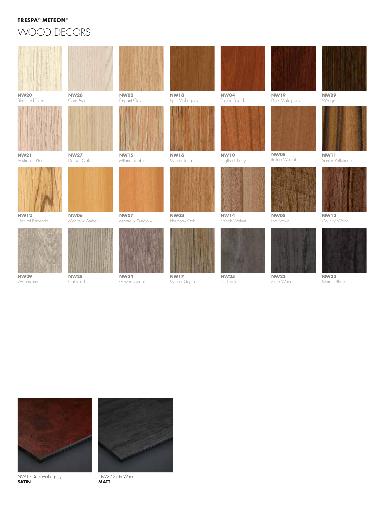#### **TRESPA® METEON®**

# WOOD DECORS





NW19 Dark Mahogany **SATIN** 



NW22 Slate Wood **MATT**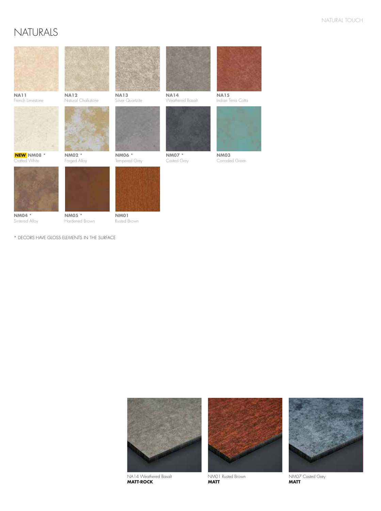# NATURALS



**NM04** \* Sintered Alloy **NM05** \* Hardened Brown

**NM01** Rusted Brown







NA14 Weathered Basalt **MATT-ROCK** 



NM01 Rusted Brown **MATT** 



NM07 Casted Grey **MATT**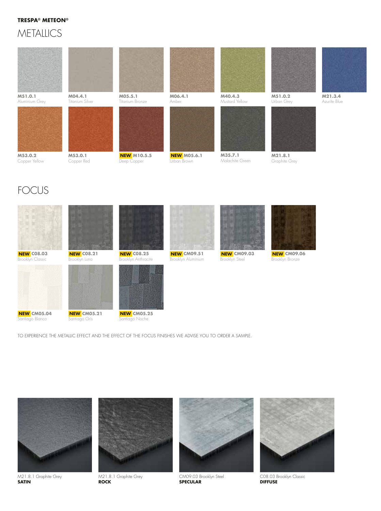### **TRESPA® METEON®**

## **METALLICS**



# FOCUS



Santiago Blanco

Santiago Gris

TO EXPERIENCE THE METALLIC EFFECT AND THE EFFECT OF THE FOCUS FINISHES WE ADVISE YOU TO ORDER A SAMPLE.



M21.8.1 Graphite Grey **SATIN** 



M21.8.1 Graphite Grey **ROCK** 



CM09.03 Brooklyn Steel **SPECULAR**



C08.03 Brooklyn Classic **DIFFUSE**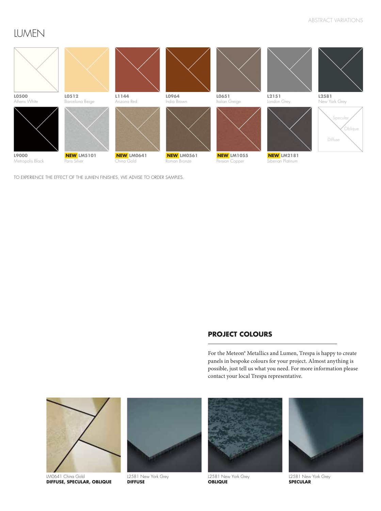# LUMEN



TO EXPERIENCE THE EFFECT OF THE LUMEN FINISHES, WE ADVISE TO ORDER SAMPLES.

## **PROJECT COLOURS**

For the Meteon® Metallics and Lumen, Trespa is happy to create panels in bespoke colours for your project. Almost anything is possible, just tell us what you need. For more information please contact your local Trespa representative.



LM0641 China Gold **DIFFUSE, SPECULAR, OBLIQUE**



L2581 New York Grey **DIFFUSE**



L2581 New York Grey **OBLIQUE**



L2581 New York Grey **SPECULAR**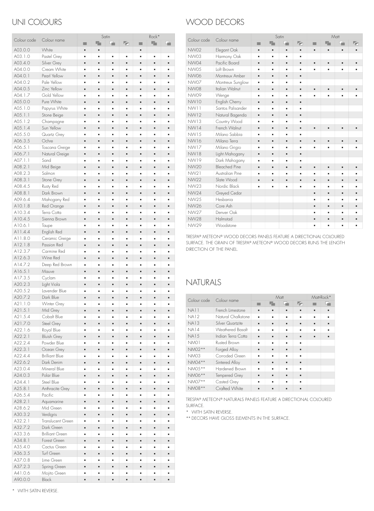## UNI COLOURS

|             |                        |   |    | Satin          |                |   | Rock* |    |
|-------------|------------------------|---|----|----------------|----------------|---|-------|----|
| Colour code | Colour name            | п | ۰. | ч.             | F.             | п | T.    | H. |
| A03.0.0     | White                  | п | п  |                |                | ٠ |       |    |
| A03.1.0     | Pastel Grey            | ٠ | ٠  | ٠              | ٠              | ٠ | ٠     | ٠  |
| A03.4.0     | Silver Grey            | ٠ | ٠  |                | ×              | ٠ | ٠     |    |
| A04.0.0     | Cream White            | ٠ | ٠  | ٠              | ٠              | ٠ | ٠     | ٠  |
|             | Pearl Yellow           |   |    |                |                |   |       |    |
| A04.0.1     |                        | ٠ | ٠  | ٠              | ×              | × | ٠     | п  |
| A04.0.2     | Pale Yellow            | ٠ | ٠  | ٠              | ٠              | ٠ | ٠     |    |
| A04.0.5     | Zinc Yellow            | ٠ | п  |                | п              | п |       |    |
| A04.1.7     | Gold Yellow            | ٠ | ٠  | ٠              | ×              | ٠ | ٠     | ٠  |
| A05.0.0     | Pure White             | ٠ | ٠  | ٠              | п              | ٠ | ٠     | ٠  |
| A05.1.0     | Papyrus White          | ٠ | ٠  | ٠              | ٠              | ٠ | ٠     | ٠  |
| A05.1.1     | Stone Beige            | ٠ | п  | п              | п              | ٠ | ٠     | ٠  |
| A05.1.2     | Champagne              | ٠ | ٠  | ٠              | ٠              | ٠ | ٠     | ٠  |
| A05.1.4     | Sun Yellow             | ٠ |    |                |                | × |       |    |
| A05.5.0     | Quartz Grey            | ٠ | ٠  | ٠              | ٠              | ٠ | ٠     | ٠  |
| A06.3.5     | Ochre                  | ٠ | п  | н              | п              | ٠ | п     | п  |
| A06.5.1     | Toscana Greige         | ٠ | ٠  | ٠              | ٠              | ٠ | ٠     |    |
| A06.7.1     | Natural Greige         | ٠ | п  | ٠              | ٠              | ٠ | ٠     | ٠  |
| A07.1.1     | Sand                   | ٠ | ٠  | ٠              | ٠              | ٠ | ٠     |    |
| A08.2.1     |                        | ٠ | п  | п              | п              | п | ٠     |    |
|             | Mid Beige<br>Salmon    |   |    |                |                |   |       |    |
| A08.2.3     |                        | ٠ | ٠  | ٠              | ٠              | ٠ | ٠     | ٠  |
| A08.3.1     | Stone Grey             | ٠ | ٠  | ×              | ٠              | × |       |    |
| A08.4.5     | Rusty Red              | ٠ | ٠  | ٠              | ٠              | ٠ | ٠     | ٠  |
| A08.8.1     | Dark Brown             | ٠ | ٠  | п              | ٠              | ٠ | ٠     | n  |
| A09.6.4     | Mahogany Red           | ٠ | ٠  | ٠              | ٠              | ٠ | ٠     | ٠  |
| A10.1.8     | Red Orange             | ٠ | п  | ٠              | ٠              | ٠ | п     | п  |
| A10.3.4     | Terra Cotta            | ٠ | ٠  | ٠              | ٠              | ٠ | ٠     |    |
| A10.4.5     | Sienna Brown           | ٠ | ٠  | ٠              | п              | ٠ | ٠     | ٠  |
| A10.6.1     | Taupe                  | ٠ | ٠  | ×              | ٠              | ٠ | ٠     | ٠  |
| A11.4.4     | English Red            | ٠ | п  | п              | ٠              | ٠ | ٠     | ٠  |
| A11.8.0     | Ceramic Greige         | ٠ | ٠  | ٠              | ٠              | ٠ | ٠     | n  |
| A12.1.8     | Passion Red            | ٠ | ٠  | ٠              | ٠              | ٠ | ٠     | ×  |
| A12.3.7     | Carmine Red            | ٠ | ٠  | ٠              | ٠              |   | ٠     | n  |
| A12.6.3     | Wine Red               | ٠ | п  |                | п              | п |       | n  |
| A14.7.2     | Deep Red Brown         | ٠ | ٠  | ×              | ٠              | ٠ | ٠     | ٠  |
| A16.5.1     | Mauve                  | ٠ | ٠  | ٠              | ٠              | ٠ | ٠     |    |
|             |                        |   |    |                |                |   |       |    |
| A17.3.5     | Cyclam                 | ٠ | ٠  | ٠              | ٠              | ٠ | ٠     | ٠  |
| A20.2.3     | Light Viola            | ٠ | н  | ٠              | п              | п | ٠     | п  |
| A20.5.2     | Lavender Blue          | ٠ | ٠  | ٠              | ٠              | ٠ | ٠     | ٠  |
| A20.7.2     | Dark Blue              | ٠ | п  | ٠              | ٠              | ٠ | п     | ٠  |
| A21.1.0     | Winter Grey            | ٠ | ٠  | ٠              | ٠              | ٠ | ٠     |    |
| A21.5.1     | Mid Grey               | ٠ | ٠  | п              | ٠              | п | ٠     |    |
| A21.5.4     | Cobalt Blue            | ٠ | ٠  | ٠              | ٠              |   |       |    |
| A21.7.0     | Steel Grey             | ٠ | ٠  | ٠              | ٠              | п | ٠     | ٠  |
| A22.1.6     | Royal Blue             |   |    |                |                |   |       |    |
| A22.2.1     | <b>Bluish Grey</b>     |   |    | ×              | ٠              |   |       |    |
| A22.2.4     | Powder Blue            | ٠ | ٠  | ٠              | ٠              | ٠ | ٠     | ٠  |
| A22.3.1     | Ocean Grey             | ٠ | ٠  | ٠              | ٠              | ٠ | ٠     | ٠  |
| A22.4.4     | <b>Brilliant Blue</b>  | ٠ | ٠  | ٠              | ٠              | ٠ | ٠     | ٠  |
| A22.6.2     | Dark Denim             | ٠ | ٠  | ٠              | ٠              | ٠ | ٠     | ٠  |
|             |                        |   |    |                |                |   |       |    |
| A23.0.4     | Mineral Blue           | ٠ | ٠  | ٠              | ٠              | ٠ | ٠     | ٠  |
| A24.0.3     | Polar Blue             | × | ٠  | ٠              | ×              |   | ٠     | п  |
| A24.4.1     | Steel Blue             | ٠ | ٠  | ٠              | ٠              | ٠ | ٠     | ٠  |
| A25.8.1     | Anthracite Grey        | ٠ | ٠  | ٠              | ×              |   | ٠     | ٠  |
| A26.5.4     | Pacific                | ٠ | ٠  | ٠              | ٠              |   | ٠     | ٠  |
| A28.2.1     | Aquamarine             | ٠ | ٠  | ٠              | $\blacksquare$ | ٠ | ٠     | ٠  |
| A28.6.2     | Mid Green              | ٠ | ٠  | ٠              | ٠              | ٠ | ٠     | ٠  |
| A30.3.2     | Verdigris              | ٠ | ٠  | ٠              | $\blacksquare$ | ٠ | ٠     | ٠  |
| A32.2.1     | Translucent Green      | ٠ | ٠  | ٠              | ٠              | ٠ | ٠     | ٠  |
| A32.7.2     | Dark Green             | ٠ | ٠  | ٠              | ٠              |   | ٠     | ٠  |
| A33.3.6     | <b>Brilliant Green</b> | ٠ | ٠  | ٠              | ٠              | ٠ | ٠     | ٠  |
| A34.8.1     | Forest Green           | ٠ | ٠  | ٠              | ٠              | ٠ | ٠     | ٠  |
| A35.4.0     | Cactus Green           | ٠ | ٠  | ٠              | ٠              | ٠ | ٠     | ٠  |
| A36.3.5     | Turf Green             | ٠ | ٠  | ٠              | ٠              | ٠ | ٠     | ٠  |
| A37.0.8     | Lime Green             | ٠ | ٠  | ٠              | ٠              |   | ٠     | ٠  |
| A37.2.3     | Spring Green           | ٠ | ٠  | $\blacksquare$ | ٠              | ٠ | ٠     | ٠  |
| A41.0.6     | Mojito Green           | ٠ | ٠  | ٠              | ٠              | ٠ | ٠     | ٠  |
| A90.0.0     | <b>Black</b>           |   |    |                |                |   |       |    |
|             |                        | ٠ | ٠  | ٠              | ٠              |   | ٠     | ٠  |

## WOOD DECORS

| Colour code      | Colour name          | Satin          |    |    | Matt |                |   |                |                |
|------------------|----------------------|----------------|----|----|------|----------------|---|----------------|----------------|
|                  |                      | ٠              | 喘  | ٠. | F)   | ▬              | 唱 | œ.             | F.             |
| <b>NW02</b>      | Elegant Oak          | ٠              | ٠  | ٠  | ٠    | ٠              | ٠ | ٠              | ٠              |
| NW03             | Harmony Oak          | ٠              | ٠  | ٠  | ٠    |                |   |                |                |
| NW04             | Pacific Board        | ٠              | ٠  | ٠  | ٠    | ٠              | ٠ | ٠              | $\blacksquare$ |
| <b>NW0.5</b>     | <b>Ioft Brown</b>    | ٠              | ٠  | ٠  | ٠    | ٠              | ٠ | ٠              | ٠              |
| <b>NW06</b>      | Montreux Amber       | $\blacksquare$ | ٠  | ٠  | ٠    |                |   |                |                |
| NW07             | Montreux Sunglow     | ٠              | ٠  | ٠  | ٠    |                |   |                |                |
| <b>NW08</b>      | Italian Walnut       | ٠              | ٠  | ٠  | ٠    | ٠              | ٠ | ٠              | ٠              |
| <b>NW09</b>      | Wenge                | ٠              | ٠  | ٠  | ٠    | ٠              | ٠ | ٠              | ٠              |
| <b>NW10</b>      | English Cherry       | ٠              | ٠  | ٠  | ٠    |                |   |                |                |
| NW11             | Santos Palisander    | ٠              | ٠  | ٠  | ٠    |                |   |                |                |
| <b>NW12</b>      | Natural Bagenda      | ٠              | ٠  | ٠  | ٠    |                |   |                |                |
| <b>NW13</b>      | Country Wood         | ٠              | ٠  | ٠  | ٠    |                |   |                |                |
| <b>NW14</b>      | French Walnut        | ٠              | ٠  | ٠  | ٠    | ٠              | ٠ | ٠              | ٠              |
| <b>NW15</b>      | Milano Sabbia        | ٠              | ٠  | ٠  | ٠    |                |   |                |                |
| NW16             | Milano Terra         | ٠              | ۰  | ٠  | ٠    | $\blacksquare$ | ٠ | ٠              | ٠              |
| <b>NW17</b>      | Milano Grigio        | ٠              | ٠  | ٠  | ٠    | ٠              | ٠ | ٠              | ٠              |
| <b>NW18</b>      | Light Mahogany       | $\blacksquare$ | n. | ٠  | ٠    |                |   |                |                |
| <b>NW19</b>      | Dark Mahogany        | ٠              | ٠  | ٠  | ٠    |                |   |                |                |
| <b>NW20</b>      | <b>Bleached Pine</b> | ٠              | ۰  | ٠  | ٠    | $\blacksquare$ | ٠ | $\blacksquare$ | $\blacksquare$ |
| NW <sub>21</sub> | Australian Pine      | ٠              | ٠  | ٠  | ٠    | ٠              | ٠ | ٠              | ٠              |
| <b>NW22</b>      | Slate Wood           | ٠              | ٠  | ٠  | ٠    | ٠              | ٠ | п              | ٠              |
| <b>NW23</b>      | Nordic Black         | ٠              | ٠  | ٠  | ٠    | ٠              | ٠ | ٠              | ٠              |
| <b>NW24</b>      | Greyed Cedar         |                |    |    |      | ٠              | ٠ | ٠              | ٠              |
| <b>NW25</b>      | Hesbania             |                |    |    |      | ٠              | ٠ | ٠              | ٠              |
| <b>NW26</b>      | Core Ash             |                |    |    |      | ٠              | ٠ | п              | ٠              |
| <b>NW27</b>      | Denver Oak           |                |    |    |      | ٠              | ٠ | ٠              | ٠              |
| <b>NW28</b>      | Halmstad             |                |    |    |      | ٠              | ٠ | ٠              | ٠              |
| <b>NW29</b>      | Woodstone            |                |    |    |      | ٠              | ٠ | ٠              | ٠              |

TRESPA® METEON® WOOD DECORS PANELS FEATURE A DIRECTIONAL COLOURED SURFACE. THE GRAIN OF TRESPA® METEON® WOOD DECORS RUNS THE LENGTH DIRECTION OF THE PANEL.

## NATURALS

| Colour code |                      |   | Matt | Matt-Rock* |    |   |   |
|-------------|----------------------|---|------|------------|----|---|---|
|             | Colour name          |   | r.   |            | L. |   |   |
| NA11        | French Limestone     | ٠ | ٠    | ٠          | ٠  | ٠ | ٠ |
| <b>NA12</b> | Natural Chalkstone   | ٠ | ٠    | ٠          | ٠  | ٠ | ٠ |
| <b>NA13</b> | Silver Quartzite     | ٠ | ٠    | ٠          | ٠  | ٠ | ٠ |
| <b>NA14</b> | Weathered Basalt     | ٠ | ٠    | ٠          | ٠  | ٠ | ٠ |
| <b>NA15</b> | Indian Terra Cotta   | ٠ | ٠    | ٠          | ٠  | ٠ | ٠ |
| NM01        | Rusted Brown         | ٠ | ٠    | ٠          | ٠  |   |   |
| NM02**      | Forged Alloy         | ٠ | ٠    | ٠          | ٠  |   |   |
| <b>NM03</b> | Corroded Green       | ٠ | ٠    | ٠          | ٠  |   |   |
| NM04 **     | Sintered Alloy       | ٠ | ٠    | ٠          | ٠  |   |   |
| NM05**      | Hardened Brown       |   | ٠    | ٠          | ٠  |   |   |
| NM06 **     | <b>Tempered Grey</b> | ٠ | ٠    | ٠          | ٠  |   |   |
| NM07**      | Casted Grey          |   | ٠    | ٠          | ٠  |   |   |
| NM08 **     | Crafted White        |   | ٠    | ٠          | ٠  |   |   |

TRESPA® METEON® NATURALS PANELS FEATURE A DIRECTIONAL COLOURED SURFACE.

\* WITH SATIN REVERSE.

\*\* DECORS HAVE GLOSS ELEMENTS IN THE SURFACE.

\* WITH SATIN REVERSE.